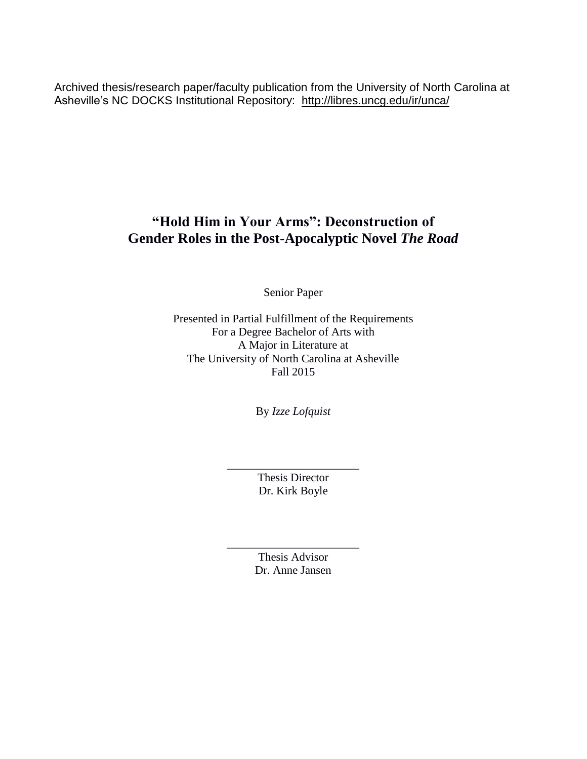Archived thesis/research paper/faculty publication from the University of North Carolina at Asheville's NC DOCKS Institutional Repository: <http://libres.uncg.edu/ir/unca/>

## **"Hold Him in Your Arms": Deconstruction of Gender Roles in the Post-Apocalyptic Novel** *The Road*

Senior Paper

Presented in Partial Fulfillment of the Requirements For a Degree Bachelor of Arts with A Major in Literature at The University of North Carolina at Asheville Fall 2015

By *Izze Lofquist*

Thesis Director Dr. Kirk Boyle

\_\_\_\_\_\_\_\_\_\_\_\_\_\_\_\_\_\_\_\_\_\_\_

\_\_\_\_\_\_\_\_\_\_\_\_\_\_\_\_\_\_\_\_\_\_\_ Thesis Advisor Dr. Anne Jansen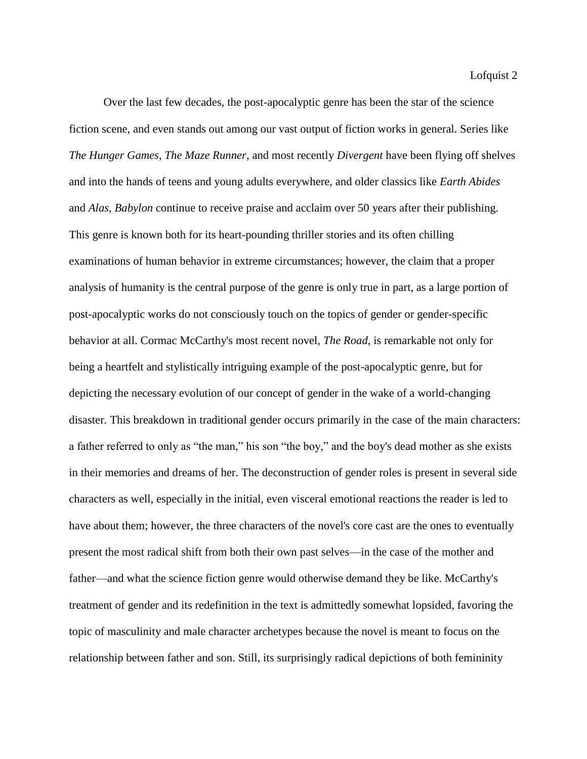Over the last few decades, the post-apocalyptic genre has been the star of the science fiction scene, and even stands out among our vast output of fiction works in general. Series like *The Hunger Games*, *The Maze Runner*, and most recently *Divergent* have been flying off shelves and into the hands of teens and young adults everywhere, and older classics like *Earth Abides* and *Alas, Babylon* continue to receive praise and acclaim over 50 years after their publishing. This genre is known both for its heart-pounding thriller stories and its often chilling examinations of human behavior in extreme circumstances; however, the claim that a proper analysis of humanity is the central purpose of the genre is only true in part, as a large portion of post-apocalyptic works do not consciously touch on the topics of gender or gender-specific behavior at all. Cormac McCarthy's most recent novel, *The Road*, is remarkable not only for being a heartfelt and stylistically intriguing example of the post-apocalyptic genre, but for depicting the necessary evolution of our concept of gender in the wake of a world-changing disaster. This breakdown in traditional gender occurs primarily in the case of the main characters: a father referred to only as "the man," his son "the boy," and the boy's dead mother as she exists in their memories and dreams of her. The deconstruction of gender roles is present in several side characters as well, especially in the initial, even visceral emotional reactions the reader is led to have about them; however, the three characters of the novel's core cast are the ones to eventually present the most radical shift from both their own past selves—in the case of the mother and father—and what the science fiction genre would otherwise demand they be like. McCarthy's treatment of gender and its redefinition in the text is admittedly somewhat lopsided, favoring the topic of masculinity and male character archetypes because the novel is meant to focus on the relationship between father and son. Still, its surprisingly radical depictions of both femininity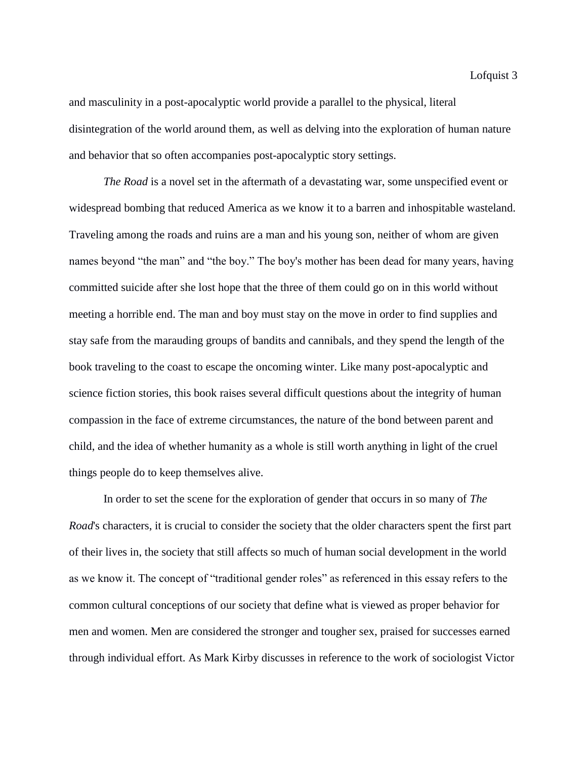and masculinity in a post-apocalyptic world provide a parallel to the physical, literal disintegration of the world around them, as well as delving into the exploration of human nature and behavior that so often accompanies post-apocalyptic story settings.

*The Road* is a novel set in the aftermath of a devastating war, some unspecified event or widespread bombing that reduced America as we know it to a barren and inhospitable wasteland. Traveling among the roads and ruins are a man and his young son, neither of whom are given names beyond "the man" and "the boy." The boy's mother has been dead for many years, having committed suicide after she lost hope that the three of them could go on in this world without meeting a horrible end. The man and boy must stay on the move in order to find supplies and stay safe from the marauding groups of bandits and cannibals, and they spend the length of the book traveling to the coast to escape the oncoming winter. Like many post-apocalyptic and science fiction stories, this book raises several difficult questions about the integrity of human compassion in the face of extreme circumstances, the nature of the bond between parent and child, and the idea of whether humanity as a whole is still worth anything in light of the cruel things people do to keep themselves alive.

In order to set the scene for the exploration of gender that occurs in so many of *The Road*'s characters, it is crucial to consider the society that the older characters spent the first part of their lives in, the society that still affects so much of human social development in the world as we know it. The concept of "traditional gender roles" as referenced in this essay refers to the common cultural conceptions of our society that define what is viewed as proper behavior for men and women. Men are considered the stronger and tougher sex, praised for successes earned through individual effort. As Mark Kirby discusses in reference to the work of sociologist Victor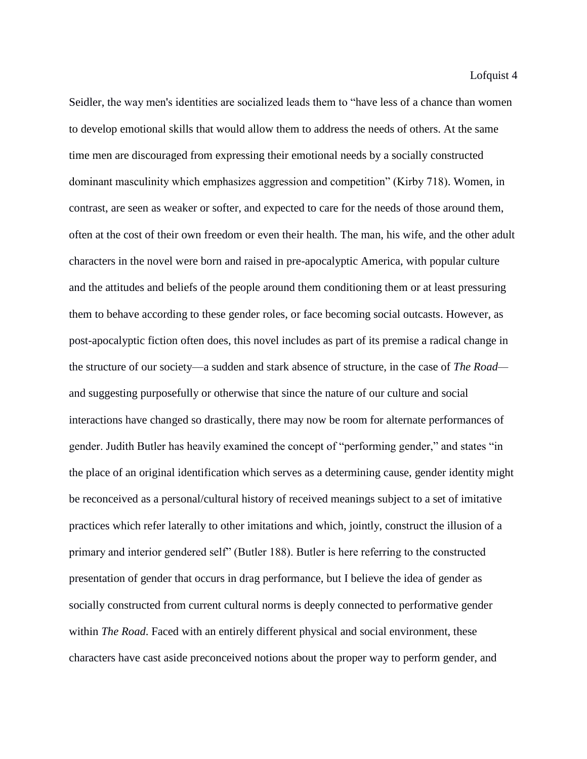Seidler, the way men's identities are socialized leads them to "have less of a chance than women to develop emotional skills that would allow them to address the needs of others. At the same time men are discouraged from expressing their emotional needs by a socially constructed dominant masculinity which emphasizes aggression and competition" (Kirby 718). Women, in contrast, are seen as weaker or softer, and expected to care for the needs of those around them, often at the cost of their own freedom or even their health. The man, his wife, and the other adult characters in the novel were born and raised in pre-apocalyptic America, with popular culture and the attitudes and beliefs of the people around them conditioning them or at least pressuring them to behave according to these gender roles, or face becoming social outcasts. However, as post-apocalyptic fiction often does, this novel includes as part of its premise a radical change in the structure of our society—a sudden and stark absence of structure, in the case of *The Road* and suggesting purposefully or otherwise that since the nature of our culture and social interactions have changed so drastically, there may now be room for alternate performances of gender. Judith Butler has heavily examined the concept of "performing gender," and states "in the place of an original identification which serves as a determining cause, gender identity might be reconceived as a personal/cultural history of received meanings subject to a set of imitative practices which refer laterally to other imitations and which, jointly, construct the illusion of a primary and interior gendered self" (Butler 188). Butler is here referring to the constructed presentation of gender that occurs in drag performance, but I believe the idea of gender as socially constructed from current cultural norms is deeply connected to performative gender within *The Road*. Faced with an entirely different physical and social environment, these characters have cast aside preconceived notions about the proper way to perform gender, and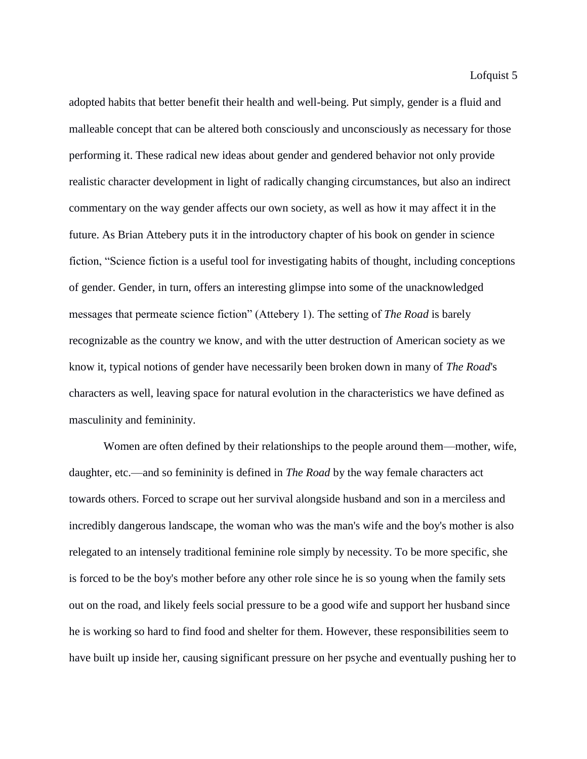adopted habits that better benefit their health and well-being. Put simply, gender is a fluid and malleable concept that can be altered both consciously and unconsciously as necessary for those performing it. These radical new ideas about gender and gendered behavior not only provide realistic character development in light of radically changing circumstances, but also an indirect commentary on the way gender affects our own society, as well as how it may affect it in the future. As Brian Attebery puts it in the introductory chapter of his book on gender in science fiction, "Science fiction is a useful tool for investigating habits of thought, including conceptions of gender. Gender, in turn, offers an interesting glimpse into some of the unacknowledged messages that permeate science fiction" (Attebery 1). The setting of *The Road* is barely recognizable as the country we know, and with the utter destruction of American society as we know it, typical notions of gender have necessarily been broken down in many of *The Road*'s characters as well, leaving space for natural evolution in the characteristics we have defined as masculinity and femininity.

Women are often defined by their relationships to the people around them—mother, wife, daughter, etc.—and so femininity is defined in *The Road* by the way female characters act towards others. Forced to scrape out her survival alongside husband and son in a merciless and incredibly dangerous landscape, the woman who was the man's wife and the boy's mother is also relegated to an intensely traditional feminine role simply by necessity. To be more specific, she is forced to be the boy's mother before any other role since he is so young when the family sets out on the road, and likely feels social pressure to be a good wife and support her husband since he is working so hard to find food and shelter for them. However, these responsibilities seem to have built up inside her, causing significant pressure on her psyche and eventually pushing her to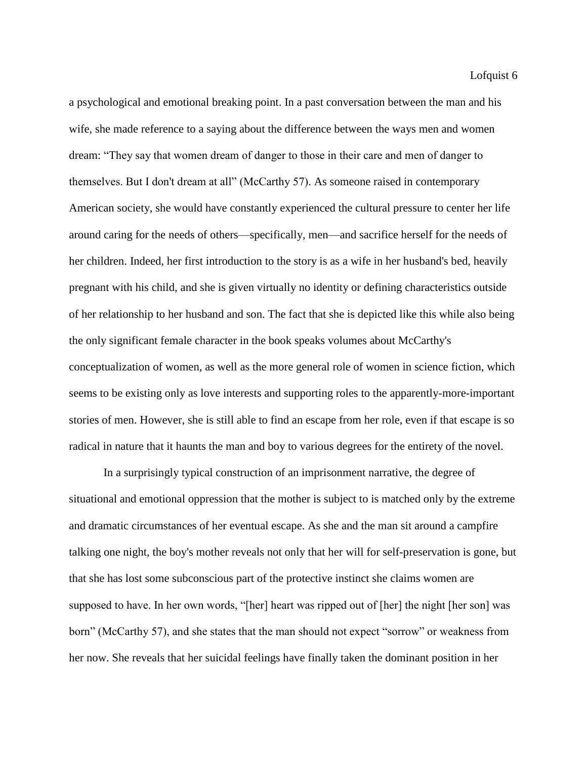a psychological and emotional breaking point. In a past conversation between the man and his wife, she made reference to a saying about the difference between the ways men and women dream: "They say that women dream of danger to those in their care and men of danger to themselves. But I don't dream at all" (McCarthy 57). As someone raised in contemporary American society, she would have constantly experienced the cultural pressure to center her life around caring for the needs of others—specifically, men—and sacrifice herself for the needs of her children. Indeed, her first introduction to the story is as a wife in her husband's bed, heavily pregnant with his child, and she is given virtually no identity or defining characteristics outside of her relationship to her husband and son. The fact that she is depicted like this while also being the only significant female character in the book speaks volumes about McCarthy's conceptualization of women, as well as the more general role of women in science fiction, which seems to be existing only as love interests and supporting roles to the apparently-more-important stories of men. However, she is still able to find an escape from her role, even if that escape is so radical in nature that it haunts the man and boy to various degrees for the entirety of the novel.

In a surprisingly typical construction of an imprisonment narrative, the degree of situational and emotional oppression that the mother is subject to is matched only by the extreme and dramatic circumstances of her eventual escape. As she and the man sit around a campfire talking one night, the boy's mother reveals not only that her will for self-preservation is gone, but that she has lost some subconscious part of the protective instinct she claims women are supposed to have. In her own words, "[her] heart was ripped out of [her] the night [her son] was born" (McCarthy 57), and she states that the man should not expect "sorrow" or weakness from her now. She reveals that her suicidal feelings have finally taken the dominant position in her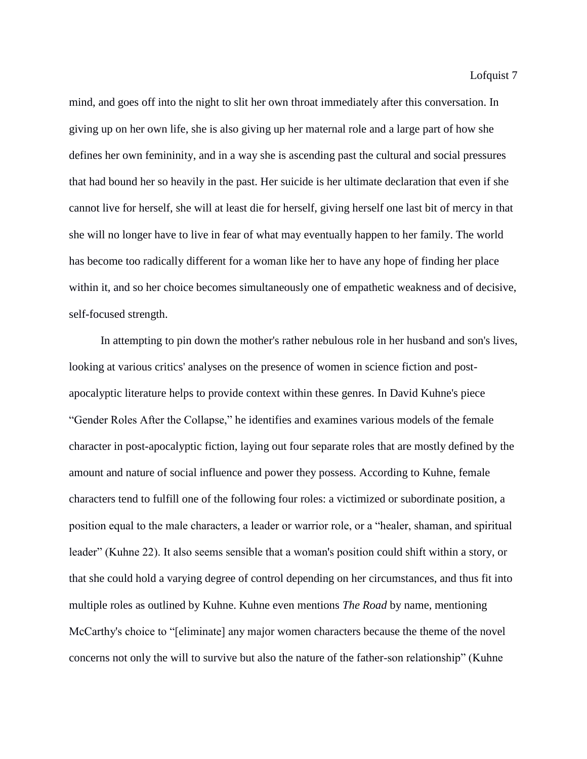mind, and goes off into the night to slit her own throat immediately after this conversation. In giving up on her own life, she is also giving up her maternal role and a large part of how she defines her own femininity, and in a way she is ascending past the cultural and social pressures that had bound her so heavily in the past. Her suicide is her ultimate declaration that even if she cannot live for herself, she will at least die for herself, giving herself one last bit of mercy in that she will no longer have to live in fear of what may eventually happen to her family. The world has become too radically different for a woman like her to have any hope of finding her place within it, and so her choice becomes simultaneously one of empathetic weakness and of decisive, self-focused strength.

In attempting to pin down the mother's rather nebulous role in her husband and son's lives, looking at various critics' analyses on the presence of women in science fiction and postapocalyptic literature helps to provide context within these genres. In David Kuhne's piece "Gender Roles After the Collapse," he identifies and examines various models of the female character in post-apocalyptic fiction, laying out four separate roles that are mostly defined by the amount and nature of social influence and power they possess. According to Kuhne, female characters tend to fulfill one of the following four roles: a victimized or subordinate position, a position equal to the male characters, a leader or warrior role, or a "healer, shaman, and spiritual leader" (Kuhne 22). It also seems sensible that a woman's position could shift within a story, or that she could hold a varying degree of control depending on her circumstances, and thus fit into multiple roles as outlined by Kuhne. Kuhne even mentions *The Road* by name, mentioning McCarthy's choice to "[eliminate] any major women characters because the theme of the novel concerns not only the will to survive but also the nature of the father-son relationship" (Kuhne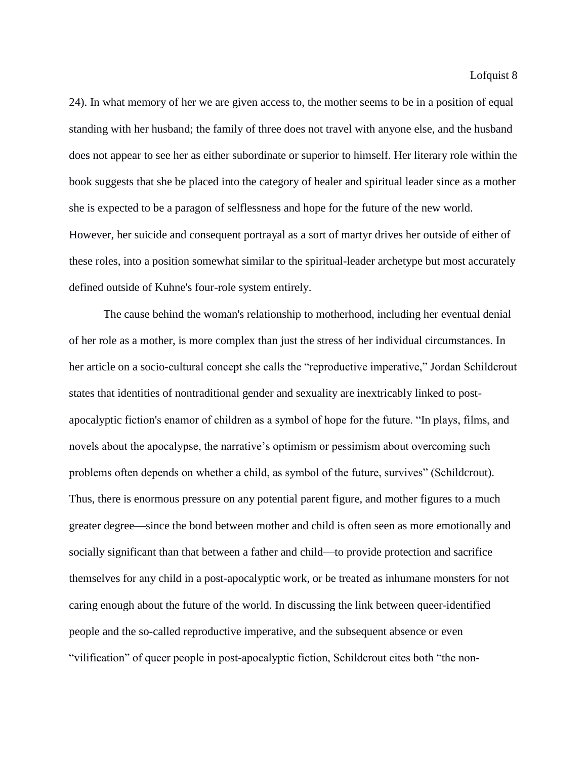24). In what memory of her we are given access to, the mother seems to be in a position of equal standing with her husband; the family of three does not travel with anyone else, and the husband does not appear to see her as either subordinate or superior to himself. Her literary role within the book suggests that she be placed into the category of healer and spiritual leader since as a mother she is expected to be a paragon of selflessness and hope for the future of the new world. However, her suicide and consequent portrayal as a sort of martyr drives her outside of either of these roles, into a position somewhat similar to the spiritual-leader archetype but most accurately defined outside of Kuhne's four-role system entirely.

The cause behind the woman's relationship to motherhood, including her eventual denial of her role as a mother, is more complex than just the stress of her individual circumstances. In her article on a socio-cultural concept she calls the "reproductive imperative," Jordan Schildcrout states that identities of nontraditional gender and sexuality are inextricably linked to postapocalyptic fiction's enamor of children as a symbol of hope for the future. "In plays, films, and novels about the apocalypse, the narrative's optimism or pessimism about overcoming such problems often depends on whether a child, as symbol of the future, survives" (Schildcrout). Thus, there is enormous pressure on any potential parent figure, and mother figures to a much greater degree—since the bond between mother and child is often seen as more emotionally and socially significant than that between a father and child—to provide protection and sacrifice themselves for any child in a post-apocalyptic work, or be treated as inhumane monsters for not caring enough about the future of the world. In discussing the link between queer-identified people and the so-called reproductive imperative, and the subsequent absence or even "vilification" of queer people in post-apocalyptic fiction, Schildcrout cites both "the non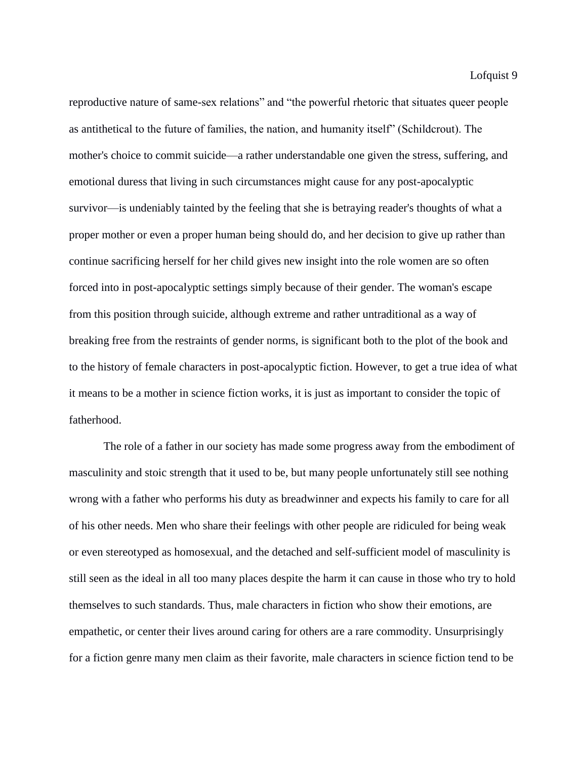reproductive nature of same-sex relations" and "the powerful rhetoric that situates queer people as antithetical to the future of families, the nation, and humanity itself" (Schildcrout). The mother's choice to commit suicide—a rather understandable one given the stress, suffering, and emotional duress that living in such circumstances might cause for any post-apocalyptic survivor—is undeniably tainted by the feeling that she is betraying reader's thoughts of what a proper mother or even a proper human being should do, and her decision to give up rather than continue sacrificing herself for her child gives new insight into the role women are so often forced into in post-apocalyptic settings simply because of their gender. The woman's escape from this position through suicide, although extreme and rather untraditional as a way of breaking free from the restraints of gender norms, is significant both to the plot of the book and to the history of female characters in post-apocalyptic fiction. However, to get a true idea of what it means to be a mother in science fiction works, it is just as important to consider the topic of fatherhood.

The role of a father in our society has made some progress away from the embodiment of masculinity and stoic strength that it used to be, but many people unfortunately still see nothing wrong with a father who performs his duty as breadwinner and expects his family to care for all of his other needs. Men who share their feelings with other people are ridiculed for being weak or even stereotyped as homosexual, and the detached and self-sufficient model of masculinity is still seen as the ideal in all too many places despite the harm it can cause in those who try to hold themselves to such standards. Thus, male characters in fiction who show their emotions, are empathetic, or center their lives around caring for others are a rare commodity. Unsurprisingly for a fiction genre many men claim as their favorite, male characters in science fiction tend to be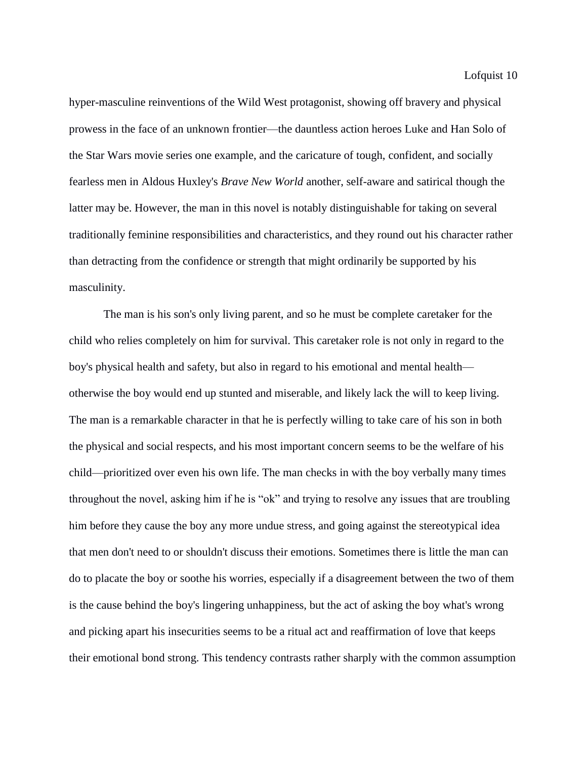hyper-masculine reinventions of the Wild West protagonist, showing off bravery and physical prowess in the face of an unknown frontier—the dauntless action heroes Luke and Han Solo of the Star Wars movie series one example, and the caricature of tough, confident, and socially fearless men in Aldous Huxley's *Brave New World* another, self-aware and satirical though the latter may be. However, the man in this novel is notably distinguishable for taking on several traditionally feminine responsibilities and characteristics, and they round out his character rather than detracting from the confidence or strength that might ordinarily be supported by his masculinity.

The man is his son's only living parent, and so he must be complete caretaker for the child who relies completely on him for survival. This caretaker role is not only in regard to the boy's physical health and safety, but also in regard to his emotional and mental health otherwise the boy would end up stunted and miserable, and likely lack the will to keep living. The man is a remarkable character in that he is perfectly willing to take care of his son in both the physical and social respects, and his most important concern seems to be the welfare of his child—prioritized over even his own life. The man checks in with the boy verbally many times throughout the novel, asking him if he is "ok" and trying to resolve any issues that are troubling him before they cause the boy any more undue stress, and going against the stereotypical idea that men don't need to or shouldn't discuss their emotions. Sometimes there is little the man can do to placate the boy or soothe his worries, especially if a disagreement between the two of them is the cause behind the boy's lingering unhappiness, but the act of asking the boy what's wrong and picking apart his insecurities seems to be a ritual act and reaffirmation of love that keeps their emotional bond strong. This tendency contrasts rather sharply with the common assumption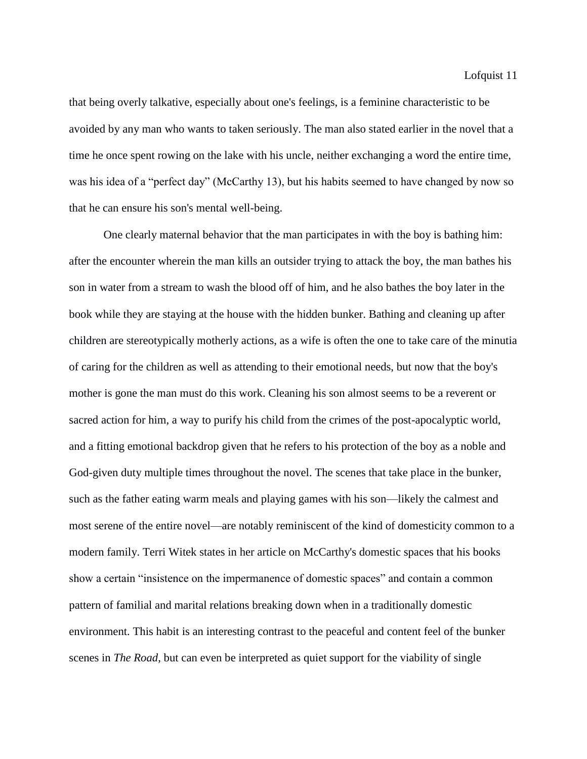that being overly talkative, especially about one's feelings, is a feminine characteristic to be avoided by any man who wants to taken seriously. The man also stated earlier in the novel that a time he once spent rowing on the lake with his uncle, neither exchanging a word the entire time, was his idea of a "perfect day" (McCarthy 13), but his habits seemed to have changed by now so that he can ensure his son's mental well-being.

One clearly maternal behavior that the man participates in with the boy is bathing him: after the encounter wherein the man kills an outsider trying to attack the boy, the man bathes his son in water from a stream to wash the blood off of him, and he also bathes the boy later in the book while they are staying at the house with the hidden bunker. Bathing and cleaning up after children are stereotypically motherly actions, as a wife is often the one to take care of the minutia of caring for the children as well as attending to their emotional needs, but now that the boy's mother is gone the man must do this work. Cleaning his son almost seems to be a reverent or sacred action for him, a way to purify his child from the crimes of the post-apocalyptic world, and a fitting emotional backdrop given that he refers to his protection of the boy as a noble and God-given duty multiple times throughout the novel. The scenes that take place in the bunker, such as the father eating warm meals and playing games with his son—likely the calmest and most serene of the entire novel—are notably reminiscent of the kind of domesticity common to a modern family. Terri Witek states in her article on McCarthy's domestic spaces that his books show a certain "insistence on the impermanence of domestic spaces" and contain a common pattern of familial and marital relations breaking down when in a traditionally domestic environment. This habit is an interesting contrast to the peaceful and content feel of the bunker scenes in *The Road*, but can even be interpreted as quiet support for the viability of single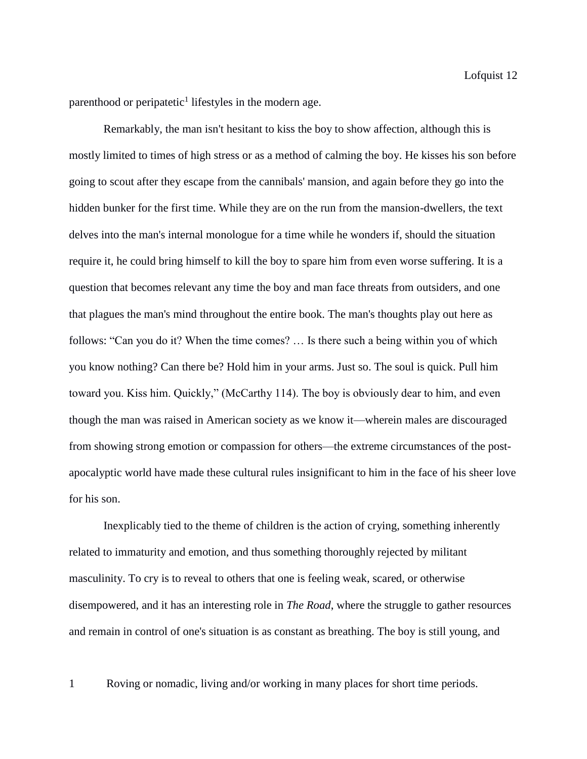parenthood or peripatetic<sup>1</sup> lifestyles in the modern age.

Remarkably, the man isn't hesitant to kiss the boy to show affection, although this is mostly limited to times of high stress or as a method of calming the boy. He kisses his son before going to scout after they escape from the cannibals' mansion, and again before they go into the hidden bunker for the first time. While they are on the run from the mansion-dwellers, the text delves into the man's internal monologue for a time while he wonders if, should the situation require it, he could bring himself to kill the boy to spare him from even worse suffering. It is a question that becomes relevant any time the boy and man face threats from outsiders, and one that plagues the man's mind throughout the entire book. The man's thoughts play out here as follows: "Can you do it? When the time comes? … Is there such a being within you of which you know nothing? Can there be? Hold him in your arms. Just so. The soul is quick. Pull him toward you. Kiss him. Quickly," (McCarthy 114). The boy is obviously dear to him, and even though the man was raised in American society as we know it—wherein males are discouraged from showing strong emotion or compassion for others—the extreme circumstances of the postapocalyptic world have made these cultural rules insignificant to him in the face of his sheer love for his son.

Inexplicably tied to the theme of children is the action of crying, something inherently related to immaturity and emotion, and thus something thoroughly rejected by militant masculinity. To cry is to reveal to others that one is feeling weak, scared, or otherwise disempowered, and it has an interesting role in *The Road*, where the struggle to gather resources and remain in control of one's situation is as constant as breathing. The boy is still young, and

1 Roving or nomadic, living and/or working in many places for short time periods.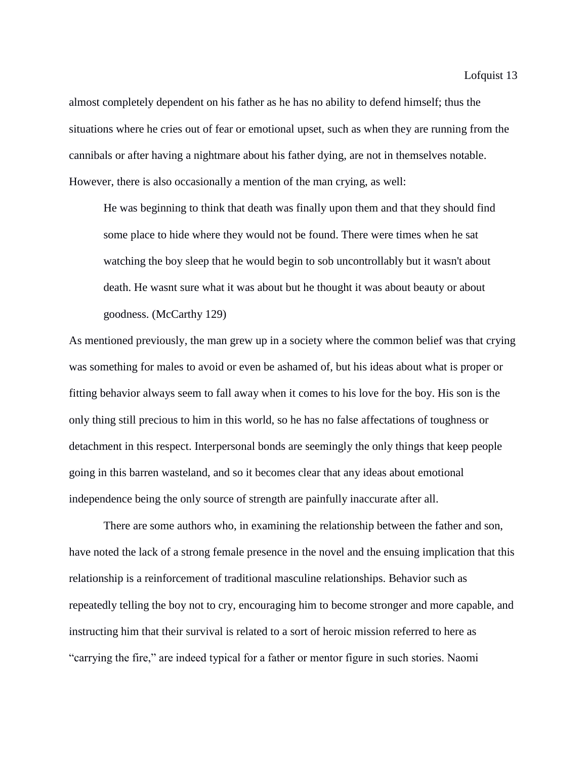almost completely dependent on his father as he has no ability to defend himself; thus the situations where he cries out of fear or emotional upset, such as when they are running from the cannibals or after having a nightmare about his father dying, are not in themselves notable. However, there is also occasionally a mention of the man crying, as well:

He was beginning to think that death was finally upon them and that they should find some place to hide where they would not be found. There were times when he sat watching the boy sleep that he would begin to sob uncontrollably but it wasn't about death. He wasnt sure what it was about but he thought it was about beauty or about goodness. (McCarthy 129)

As mentioned previously, the man grew up in a society where the common belief was that crying was something for males to avoid or even be ashamed of, but his ideas about what is proper or fitting behavior always seem to fall away when it comes to his love for the boy. His son is the only thing still precious to him in this world, so he has no false affectations of toughness or detachment in this respect. Interpersonal bonds are seemingly the only things that keep people going in this barren wasteland, and so it becomes clear that any ideas about emotional independence being the only source of strength are painfully inaccurate after all.

There are some authors who, in examining the relationship between the father and son, have noted the lack of a strong female presence in the novel and the ensuing implication that this relationship is a reinforcement of traditional masculine relationships. Behavior such as repeatedly telling the boy not to cry, encouraging him to become stronger and more capable, and instructing him that their survival is related to a sort of heroic mission referred to here as "carrying the fire," are indeed typical for a father or mentor figure in such stories. Naomi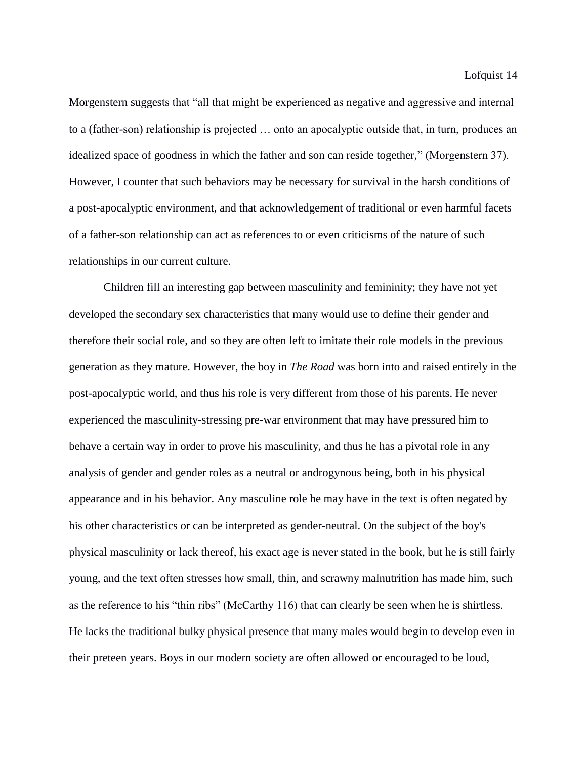Morgenstern suggests that "all that might be experienced as negative and aggressive and internal to a (father-son) relationship is projected … onto an apocalyptic outside that, in turn, produces an idealized space of goodness in which the father and son can reside together," (Morgenstern 37). However, I counter that such behaviors may be necessary for survival in the harsh conditions of a post-apocalyptic environment, and that acknowledgement of traditional or even harmful facets of a father-son relationship can act as references to or even criticisms of the nature of such relationships in our current culture.

Children fill an interesting gap between masculinity and femininity; they have not yet developed the secondary sex characteristics that many would use to define their gender and therefore their social role, and so they are often left to imitate their role models in the previous generation as they mature. However, the boy in *The Road* was born into and raised entirely in the post-apocalyptic world, and thus his role is very different from those of his parents. He never experienced the masculinity-stressing pre-war environment that may have pressured him to behave a certain way in order to prove his masculinity, and thus he has a pivotal role in any analysis of gender and gender roles as a neutral or androgynous being, both in his physical appearance and in his behavior. Any masculine role he may have in the text is often negated by his other characteristics or can be interpreted as gender-neutral. On the subject of the boy's physical masculinity or lack thereof, his exact age is never stated in the book, but he is still fairly young, and the text often stresses how small, thin, and scrawny malnutrition has made him, such as the reference to his "thin ribs" (McCarthy 116) that can clearly be seen when he is shirtless. He lacks the traditional bulky physical presence that many males would begin to develop even in their preteen years. Boys in our modern society are often allowed or encouraged to be loud,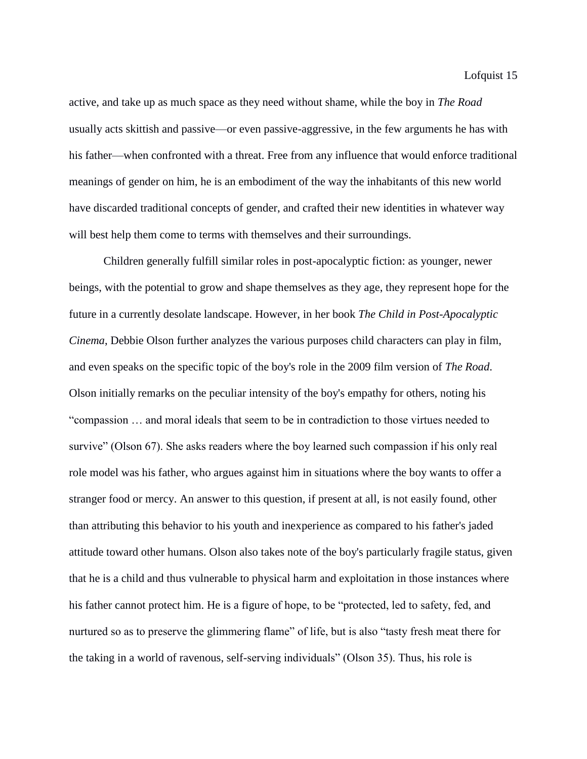active, and take up as much space as they need without shame, while the boy in *The Road* usually acts skittish and passive—or even passive-aggressive, in the few arguments he has with his father—when confronted with a threat. Free from any influence that would enforce traditional meanings of gender on him, he is an embodiment of the way the inhabitants of this new world have discarded traditional concepts of gender, and crafted their new identities in whatever way will best help them come to terms with themselves and their surroundings.

Children generally fulfill similar roles in post-apocalyptic fiction: as younger, newer beings, with the potential to grow and shape themselves as they age, they represent hope for the future in a currently desolate landscape. However, in her book *The Child in Post-Apocalyptic Cinema*, Debbie Olson further analyzes the various purposes child characters can play in film, and even speaks on the specific topic of the boy's role in the 2009 film version of *The Road*. Olson initially remarks on the peculiar intensity of the boy's empathy for others, noting his "compassion … and moral ideals that seem to be in contradiction to those virtues needed to survive" (Olson 67). She asks readers where the boy learned such compassion if his only real role model was his father, who argues against him in situations where the boy wants to offer a stranger food or mercy. An answer to this question, if present at all, is not easily found, other than attributing this behavior to his youth and inexperience as compared to his father's jaded attitude toward other humans. Olson also takes note of the boy's particularly fragile status, given that he is a child and thus vulnerable to physical harm and exploitation in those instances where his father cannot protect him. He is a figure of hope, to be "protected, led to safety, fed, and nurtured so as to preserve the glimmering flame" of life, but is also "tasty fresh meat there for the taking in a world of ravenous, self-serving individuals" (Olson 35). Thus, his role is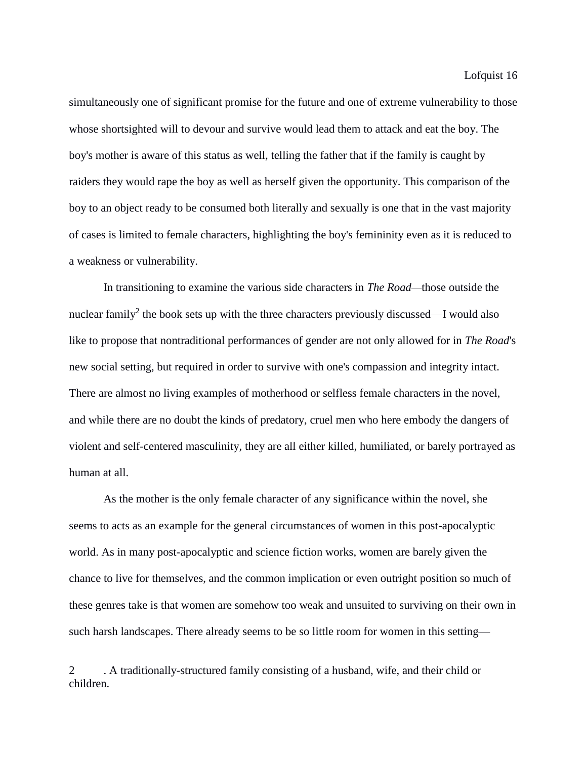simultaneously one of significant promise for the future and one of extreme vulnerability to those whose shortsighted will to devour and survive would lead them to attack and eat the boy. The boy's mother is aware of this status as well, telling the father that if the family is caught by raiders they would rape the boy as well as herself given the opportunity. This comparison of the boy to an object ready to be consumed both literally and sexually is one that in the vast majority of cases is limited to female characters, highlighting the boy's femininity even as it is reduced to a weakness or vulnerability.

In transitioning to examine the various side characters in *The Road—*those outside the nuclear family<sup>2</sup> the book sets up with the three characters previously discussed—I would also like to propose that nontraditional performances of gender are not only allowed for in *The Road*'s new social setting, but required in order to survive with one's compassion and integrity intact. There are almost no living examples of motherhood or selfless female characters in the novel, and while there are no doubt the kinds of predatory, cruel men who here embody the dangers of violent and self-centered masculinity, they are all either killed, humiliated, or barely portrayed as human at all.

As the mother is the only female character of any significance within the novel, she seems to acts as an example for the general circumstances of women in this post-apocalyptic world. As in many post-apocalyptic and science fiction works, women are barely given the chance to live for themselves, and the common implication or even outright position so much of these genres take is that women are somehow too weak and unsuited to surviving on their own in such harsh landscapes. There already seems to be so little room for women in this setting—

2 . A traditionally-structured family consisting of a husband, wife, and their child or children.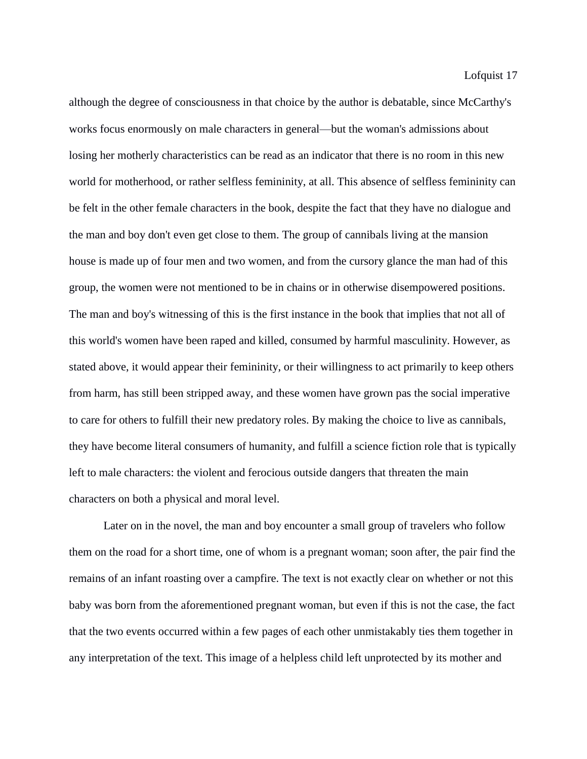although the degree of consciousness in that choice by the author is debatable, since McCarthy's works focus enormously on male characters in general—but the woman's admissions about losing her motherly characteristics can be read as an indicator that there is no room in this new world for motherhood, or rather selfless femininity, at all. This absence of selfless femininity can be felt in the other female characters in the book, despite the fact that they have no dialogue and the man and boy don't even get close to them. The group of cannibals living at the mansion house is made up of four men and two women, and from the cursory glance the man had of this group, the women were not mentioned to be in chains or in otherwise disempowered positions. The man and boy's witnessing of this is the first instance in the book that implies that not all of this world's women have been raped and killed, consumed by harmful masculinity. However, as stated above, it would appear their femininity, or their willingness to act primarily to keep others from harm, has still been stripped away, and these women have grown pas the social imperative to care for others to fulfill their new predatory roles. By making the choice to live as cannibals, they have become literal consumers of humanity, and fulfill a science fiction role that is typically left to male characters: the violent and ferocious outside dangers that threaten the main characters on both a physical and moral level.

Later on in the novel, the man and boy encounter a small group of travelers who follow them on the road for a short time, one of whom is a pregnant woman; soon after, the pair find the remains of an infant roasting over a campfire. The text is not exactly clear on whether or not this baby was born from the aforementioned pregnant woman, but even if this is not the case, the fact that the two events occurred within a few pages of each other unmistakably ties them together in any interpretation of the text. This image of a helpless child left unprotected by its mother and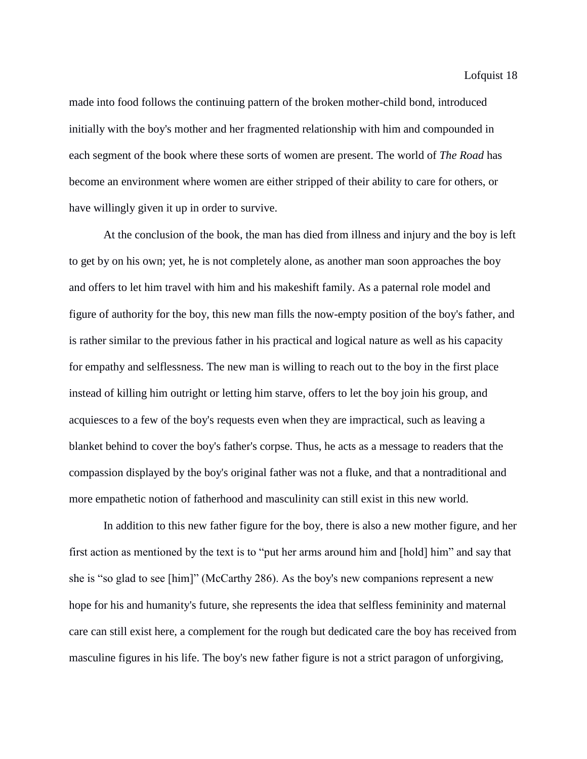made into food follows the continuing pattern of the broken mother-child bond, introduced initially with the boy's mother and her fragmented relationship with him and compounded in each segment of the book where these sorts of women are present. The world of *The Road* has become an environment where women are either stripped of their ability to care for others, or have willingly given it up in order to survive.

At the conclusion of the book, the man has died from illness and injury and the boy is left to get by on his own; yet, he is not completely alone, as another man soon approaches the boy and offers to let him travel with him and his makeshift family. As a paternal role model and figure of authority for the boy, this new man fills the now-empty position of the boy's father, and is rather similar to the previous father in his practical and logical nature as well as his capacity for empathy and selflessness. The new man is willing to reach out to the boy in the first place instead of killing him outright or letting him starve, offers to let the boy join his group, and acquiesces to a few of the boy's requests even when they are impractical, such as leaving a blanket behind to cover the boy's father's corpse. Thus, he acts as a message to readers that the compassion displayed by the boy's original father was not a fluke, and that a nontraditional and more empathetic notion of fatherhood and masculinity can still exist in this new world.

In addition to this new father figure for the boy, there is also a new mother figure, and her first action as mentioned by the text is to "put her arms around him and [hold] him" and say that she is "so glad to see [him]" (McCarthy 286). As the boy's new companions represent a new hope for his and humanity's future, she represents the idea that selfless femininity and maternal care can still exist here, a complement for the rough but dedicated care the boy has received from masculine figures in his life. The boy's new father figure is not a strict paragon of unforgiving,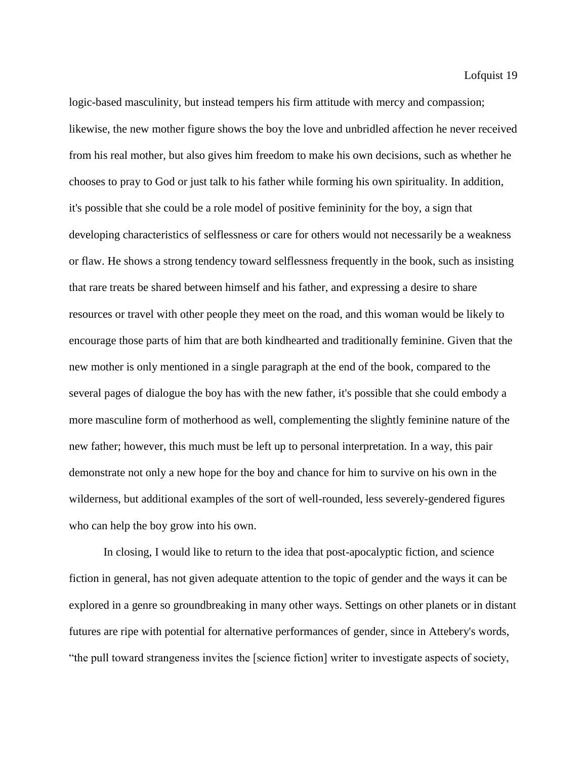logic-based masculinity, but instead tempers his firm attitude with mercy and compassion; likewise, the new mother figure shows the boy the love and unbridled affection he never received from his real mother, but also gives him freedom to make his own decisions, such as whether he chooses to pray to God or just talk to his father while forming his own spirituality. In addition, it's possible that she could be a role model of positive femininity for the boy, a sign that developing characteristics of selflessness or care for others would not necessarily be a weakness or flaw. He shows a strong tendency toward selflessness frequently in the book, such as insisting that rare treats be shared between himself and his father, and expressing a desire to share resources or travel with other people they meet on the road, and this woman would be likely to encourage those parts of him that are both kindhearted and traditionally feminine. Given that the new mother is only mentioned in a single paragraph at the end of the book, compared to the several pages of dialogue the boy has with the new father, it's possible that she could embody a more masculine form of motherhood as well, complementing the slightly feminine nature of the new father; however, this much must be left up to personal interpretation. In a way, this pair demonstrate not only a new hope for the boy and chance for him to survive on his own in the wilderness, but additional examples of the sort of well-rounded, less severely-gendered figures who can help the boy grow into his own.

In closing, I would like to return to the idea that post-apocalyptic fiction, and science fiction in general, has not given adequate attention to the topic of gender and the ways it can be explored in a genre so groundbreaking in many other ways. Settings on other planets or in distant futures are ripe with potential for alternative performances of gender, since in Attebery's words, "the pull toward strangeness invites the [science fiction] writer to investigate aspects of society,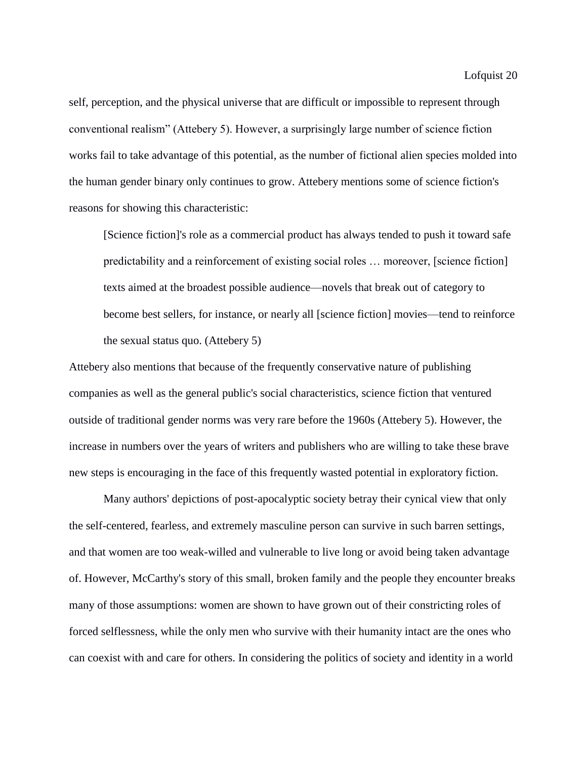self, perception, and the physical universe that are difficult or impossible to represent through conventional realism" (Attebery 5). However, a surprisingly large number of science fiction works fail to take advantage of this potential, as the number of fictional alien species molded into the human gender binary only continues to grow. Attebery mentions some of science fiction's reasons for showing this characteristic:

[Science fiction]'s role as a commercial product has always tended to push it toward safe predictability and a reinforcement of existing social roles … moreover, [science fiction] texts aimed at the broadest possible audience—novels that break out of category to become best sellers, for instance, or nearly all [science fiction] movies—tend to reinforce the sexual status quo. (Attebery 5)

Attebery also mentions that because of the frequently conservative nature of publishing companies as well as the general public's social characteristics, science fiction that ventured outside of traditional gender norms was very rare before the 1960s (Attebery 5). However, the increase in numbers over the years of writers and publishers who are willing to take these brave new steps is encouraging in the face of this frequently wasted potential in exploratory fiction.

Many authors' depictions of post-apocalyptic society betray their cynical view that only the self-centered, fearless, and extremely masculine person can survive in such barren settings, and that women are too weak-willed and vulnerable to live long or avoid being taken advantage of. However, McCarthy's story of this small, broken family and the people they encounter breaks many of those assumptions: women are shown to have grown out of their constricting roles of forced selflessness, while the only men who survive with their humanity intact are the ones who can coexist with and care for others. In considering the politics of society and identity in a world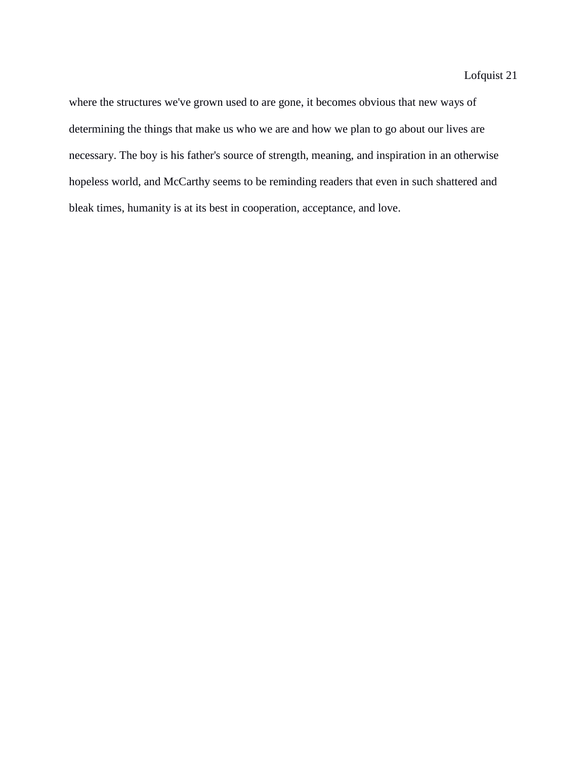where the structures we've grown used to are gone, it becomes obvious that new ways of determining the things that make us who we are and how we plan to go about our lives are necessary. The boy is his father's source of strength, meaning, and inspiration in an otherwise hopeless world, and McCarthy seems to be reminding readers that even in such shattered and bleak times, humanity is at its best in cooperation, acceptance, and love.